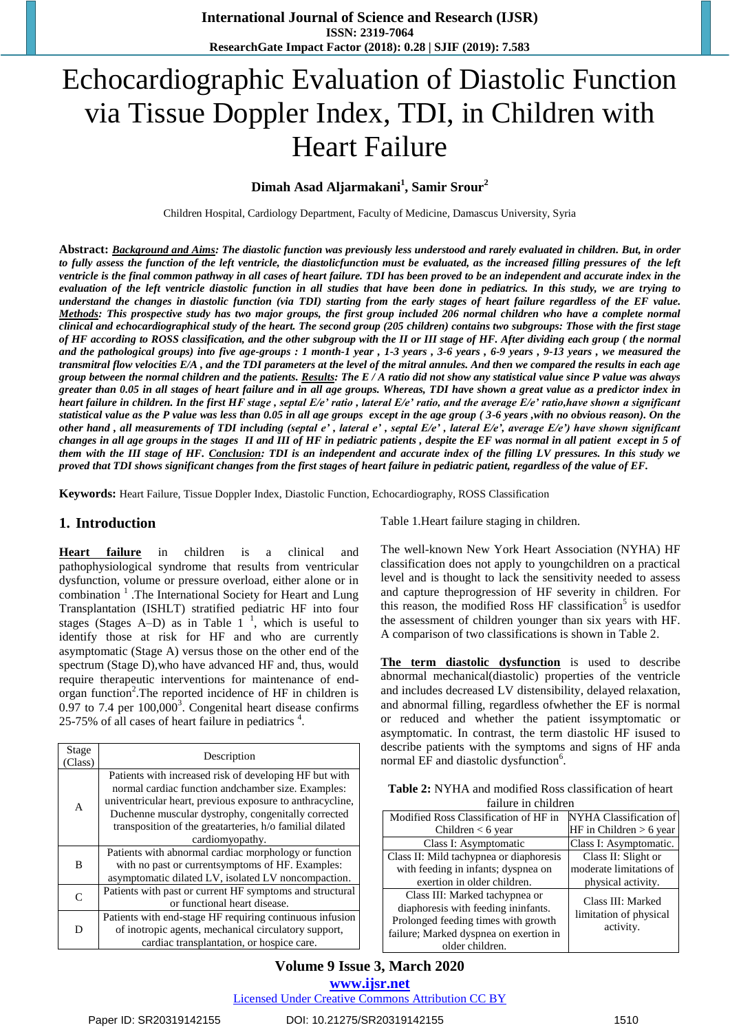# Echocardiographic Evaluation of Diastolic Function via Tissue Doppler Index, TDI, in Children with Heart Failure

## **Dimah Asad Aljarmakani<sup>1</sup> , Samir Srour<sup>2</sup>**

Children Hospital, Cardiology Department, Faculty of Medicine, Damascus University, Syria

**Abstract:** *Background and Aims: The diastolic function was previously less understood and rarely evaluated in children. But, in order to fully assess the function of the left ventricle, the diastolicfunction must be evaluated, as the increased filling pressures of the left ventricle is the final common pathway in all cases of heart failure. TDI has been proved to be an independent and accurate index in the evaluation of the left ventricle diastolic function in all studies that have been done in pediatrics. In this study, we are trying to understand the changes in diastolic function (via TDI) starting from the early stages of heart failure regardless of the EF value. Methods: This prospective study has two major groups, the first group included 206 normal children who have a complete normal clinical and echocardiographical study of the heart. The second group (205 children) contains two subgroups: Those with the first stage of HF according to ROSS classification, and the other subgroup with the II or III stage of HF. After dividing each group ( the normal and the pathological groups) into five age-groups : 1 month-1 year , 1-3 years , 3-6 years , 6-9 years , 9-13 years , we measured the transmitral flow velocities E/A , and the TDI parameters at the level of the mitral annules. And then we compared the results in each age group between the normal children and the patients. Results: The E / A ratio did not show any statistical value since P value was always greater than 0.05 in all stages of heart failure and in all age groups. Whereas, TDI have shown a great value as a predictor index in heart failure in children. In the first HF stage , septal E/e' ratio , lateral E/e' ratio, and the average E/e' ratio,have shown a significant statistical value as the P value was less than 0.05 in all age groups except in the age group ( 3-6 years ,with no obvious reason). On the other hand , all measurements of TDI including (septal e' , lateral e' , septal E/e' , lateral E/e', average E/e') have shown significant changes in all age groups in the stages II and III of HF in pediatric patients , despite the EF was normal in all patient except in 5 of them with the III stage of HF. Conclusion: TDI is an independent and accurate index of the filling LV pressures. In this study we proved that TDI shows significant changes from the first stages of heart failure in pediatric patient, regardless of the value of EF.* 

**Keywords:** Heart Failure, Tissue Doppler Index, Diastolic Function, Echocardiography, ROSS Classification

#### **1. Introduction**

**Heart failure** in children is a clinical and pathophysiological syndrome that results from ventricular dysfunction, volume or pressure overload, either alone or in combination<sup>1</sup>. The International Society for Heart and Lung Transplantation (ISHLT) stratified pediatric HF into four stages (Stages A–D) as in Table  $1^{-1}$ , which is useful to identify those at risk for HF and who are currently asymptomatic (Stage A) versus those on the other end of the spectrum (Stage D),who have advanced HF and, thus, would require therapeutic interventions for maintenance of endorgan function<sup>2</sup>. The reported incidence of HF in children is  $0.97$  to 7.4 per  $100,000^3$ . Congenital heart disease confirms 25-75% of all cases of heart failure in pediatrics  $4$ .

| Stage<br>Class) | Description                                                                                                                                                                                                                                                                                                      |
|-----------------|------------------------------------------------------------------------------------------------------------------------------------------------------------------------------------------------------------------------------------------------------------------------------------------------------------------|
| $\overline{A}$  | Patients with increased risk of developing HF but with<br>normal cardiac function and chamber size. Examples:<br>univentricular heart, previous exposure to anthracycline,<br>Duchenne muscular dystrophy, congenitally corrected<br>transposition of the greatarteries, h/o familial dilated<br>cardiomyopathy. |
| B               | Patients with abnormal cardiac morphology or function<br>with no past or currentsymptoms of HF. Examples:<br>asymptomatic dilated LV, isolated LV noncompaction.                                                                                                                                                 |
| $\Gamma$        | Patients with past or current HF symptoms and structural<br>or functional heart disease.                                                                                                                                                                                                                         |
| D               | Patients with end-stage HF requiring continuous infusion<br>of inotropic agents, mechanical circulatory support,<br>cardiac transplantation, or hospice care.                                                                                                                                                    |

Table 1.Heart failure staging in children.

The well-known New York Heart Association (NYHA) HF classification does not apply to youngchildren on a practical level and is thought to lack the sensitivity needed to assess and capture theprogression of HF severity in children. For this reason, the modified Ross HF classification<sup>5</sup> is usedfor the assessment of children younger than six years with HF. A comparison of two classifications is shown in Table 2.

**The term diastolic dysfunction** is used to describe abnormal mechanical(diastolic) properties of the ventricle and includes decreased LV distensibility, delayed relaxation, and abnormal filling, regardless ofwhether the EF is normal or reduced and whether the patient issymptomatic or asymptomatic. In contrast, the term diastolic HF isused to describe patients with the symptoms and signs of HF anda normal EF and diastolic dysfunction<sup>6</sup>.

| <b>Table 2:</b> NYHA and modified Ross classification of heart |  |
|----------------------------------------------------------------|--|
| failure in children                                            |  |

| Modified Ross Classification of HF in   | NYHA Classification of    |
|-----------------------------------------|---------------------------|
| Children $<$ 6 year                     | HF in Children $> 6$ year |
| Class I: Asymptomatic                   | Class I: Asymptomatic.    |
| Class II: Mild tachypnea or diaphoresis | Class II: Slight or       |
| with feeding in infants; dyspnea on     | moderate limitations of   |
| exertion in older children.             | physical activity.        |
| Class III: Marked tachypnea or          | Class III: Marked         |
| diaphoresis with feeding ininfants.     | limitation of physical    |
| Prolonged feeding times with growth     | activity.                 |
| failure; Marked dyspnea on exertion in  |                           |
| older children.                         |                           |

## **Volume 9 Issue 3, March 2020 www.ijsr.net**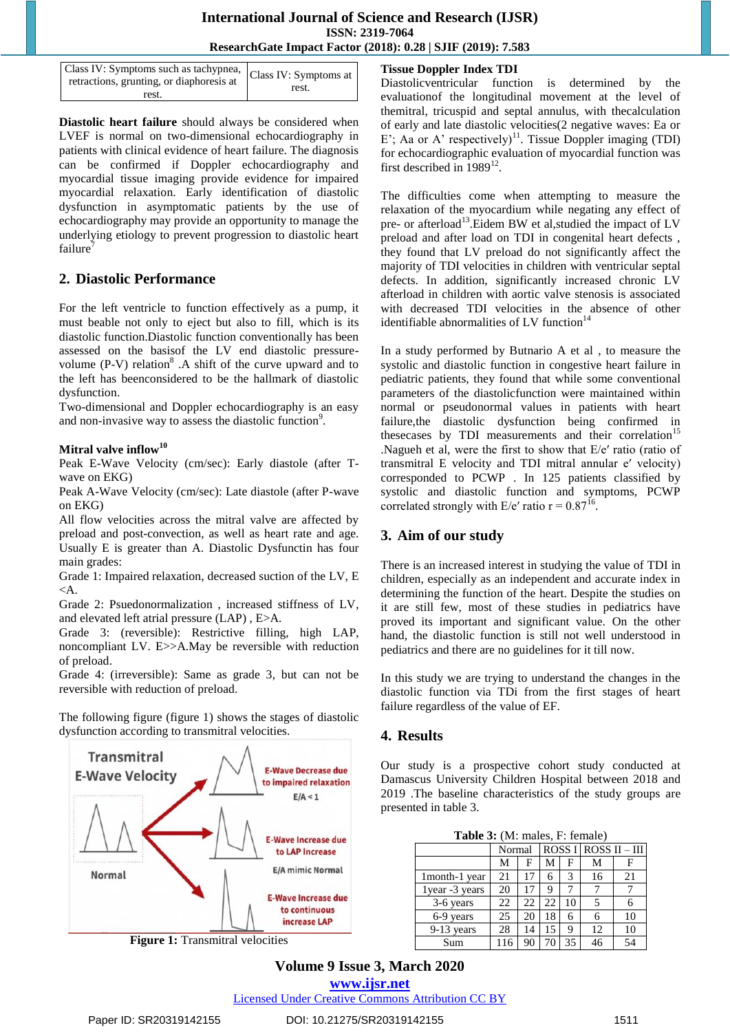## **International Journal of Science and Research (IJSR) ISSN: 2319-7064 ResearchGate Impact Factor (2018): 0.28 | SJIF (2019): 7.583**

| Class IV: Symptoms such as tachypnea, Class IV: Symptoms at<br>retractions, grunting, or diaphoresis at |       |
|---------------------------------------------------------------------------------------------------------|-------|
| rest.                                                                                                   | rest. |

**Diastolic heart failure** should always be considered when LVEF is normal on two-dimensional echocardiography in patients with clinical evidence of heart failure. The diagnosis can be confirmed if Doppler echocardiography and myocardial tissue imaging provide evidence for impaired myocardial relaxation. Early identification of diastolic dysfunction in asymptomatic patients by the use of echocardiography may provide an opportunity to manage the underlying etiology to prevent progression to diastolic heart failure

## **2. Diastolic Performance**

For the left ventricle to function effectively as a pump, it must beable not only to eject but also to fill, which is its diastolic function.Diastolic function conventionally has been assessed on the basisof the LV end diastolic pressurevolume  $(P-V)$  relation<sup>8</sup>. A shift of the curve upward and to the left has beenconsidered to be the hallmark of diastolic dysfunction.

Two-dimensional and Doppler echocardiography is an easy and non-invasive way to assess the diastolic function<sup>9</sup>.

## **Mitral valve inflow<sup>10</sup>**

Peak E-Wave Velocity (cm/sec): Early diastole (after Twave on EKG)

Peak A-Wave Velocity (cm/sec): Late diastole (after P-wave on EKG)

All flow velocities across the mitral valve are affected by preload and post-convection, as well as heart rate and age. Usually E is greater than A. Diastolic Dysfunctin has four main grades:

Grade 1: Impaired relaxation, decreased suction of the LV, E  $\triangleleft A$ .

Grade 2: Psuedonormalization , increased stiffness of LV, and elevated left atrial pressure (LAP) , E>A.

Grade 3: (reversible): Restrictive filling, high LAP, noncompliant LV. E>>A.May be reversible with reduction of preload.

Grade 4: (irreversible): Same as grade 3, but can not be reversible with reduction of preload.

The following figure (figure 1) shows the stages of diastolic dysfunction according to transmitral velocities.



**Figure 1:** Transmitral velocities

## **Tissue Doppler Index TDI**

Diastolicventricular function is determined by the evaluationof the longitudinal movement at the level of themitral, tricuspid and septal annulus, with thecalculation of early and late diastolic velocities(2 negative waves: Ea or E'; Aa or A' respectively)<sup>11</sup>. Tissue Doppler imaging (TDI) for echocardiographic evaluation of myocardial function was first described in  $1989^{12}$ .

The difficulties come when attempting to measure the relaxation of the myocardium while negating any effect of pre- or afterload<sup>13</sup>. Eidem BW et al, studied the impact of LV preload and after load on TDI in congenital heart defects , they found that LV preload do not significantly affect the majority of TDI velocities in children with ventricular septal defects. In addition, significantly increased chronic LV afterload in children with aortic valve stenosis is associated with decreased TDI velocities in the absence of other identifiable abnormalities of LV function $14$ 

In a study performed by Butnario A et al , to measure the systolic and diastolic function in congestive heart failure in pediatric patients, they found that while some conventional parameters of the diastolicfunction were maintained within normal or pseudonormal values in patients with heart failure,the diastolic dysfunction being confirmed in thesecases by TDI measurements and their correlation<sup>15</sup> .Nagueh et al, were the first to show that E/e′ ratio (ratio of transmitral E velocity and TDI mitral annular e′ velocity) corresponded to PCWP . In 125 patients classified by systolic and diastolic function and symptoms, PCWP correlated strongly with  $E/e'$  ratio  $r = 0.87^{16}$ .

## **3. Aim of our study**

There is an increased interest in studying the value of TDI in children, especially as an independent and accurate index in determining the function of the heart. Despite the studies on it are still few, most of these studies in pediatrics have proved its important and significant value. On the other hand, the diastolic function is still not well understood in pediatrics and there are no guidelines for it till now.

In this study we are trying to understand the changes in the diastolic function via TDi from the first stages of heart failure regardless of the value of EF.

## **4. Results**

Our study is a prospective cohort study conducted at Damascus University Children Hospital between 2018 and 2019 .The baseline characteristics of the study groups are presented in table 3.

**Table 3:** (M: males, F: female)

|                 | Normal |    | $\overline{ROS}$ I ROSS II - III |    |    |    |
|-----------------|--------|----|----------------------------------|----|----|----|
|                 | М      | F  | М                                | F  | М  |    |
| 1month-1 year   | 21     | 17 | 6                                | 3  | 16 | 21 |
| 1 year -3 years | 20     |    | 9                                |    |    |    |
| 3-6 years       | 22     | 22 | 22                               | 10 |    |    |
| 6-9 years       | 25     | 20 | 18                               | 6  |    | 10 |
| $9-13$ years    | 28     | 14 | 15                               | 9  | 12 | 10 |
| Sum             |        |    | 70                               | 35 | 46 | 54 |

## **Volume 9 Issue 3, March 2020**

**www.ijsr.net**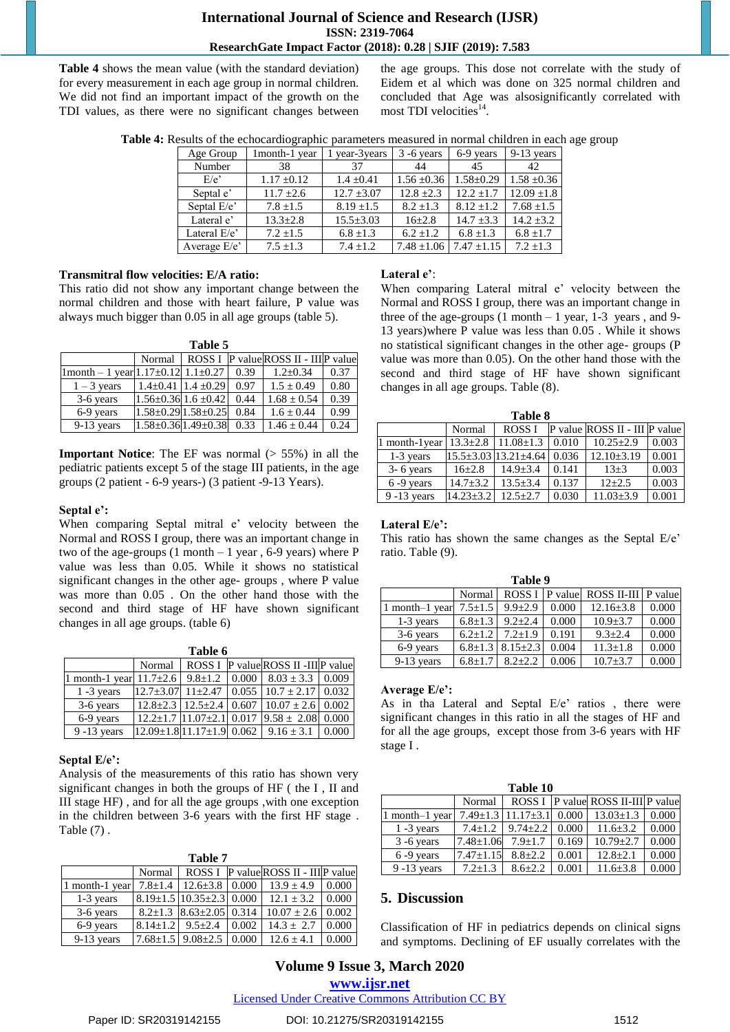## **International Journal of Science and Research (IJSR) ISSN: 2319-7064 ResearchGate Impact Factor (2018): 0.28 | SJIF (2019): 7.583**

**Table 4** shows the mean value (with the standard deviation) for every measurement in each age group in normal children. We did not find an important impact of the growth on the TDI values, as there were no significant changes between the age groups. This dose not correlate with the study of Eidem et al which was done on 325 normal children and concluded that Age was alsosignificantly correlated with most TDI velocities<sup>14</sup>.

| Table 4: Results of the echocardiographic parameters measured in normal children in each age group |  |
|----------------------------------------------------------------------------------------------------|--|
|                                                                                                    |  |

| Age Group     | 1 month-1 year  | 1 year-3years   | $3 - 6$ years   | 6-9 years       | $9-13$ years    |
|---------------|-----------------|-----------------|-----------------|-----------------|-----------------|
| Number        | 38              | 37              | 44              | 45              | 42              |
| E/e           | $1.17 \pm 0.12$ | $1.4 + 0.41$    | $1.56 \pm 0.36$ | $1.58 + 0.29$   | $1.58 \pm 0.36$ |
| Septal e'     | $11.7 \pm 2.6$  | $12.7 \pm 3.07$ | $12.8 \pm 2.3$  | $12.2 \pm 1.7$  | $12.09 \pm 1.8$ |
| Septal E/e'   | $7.8 + 1.5$     | $8.19 \pm 1.5$  | $8.2 + 1.3$     | $8.12 + 1.2$    | $7.68 \pm 1.5$  |
| Lateral e'    | $13.3 + 2.8$    | $15.5 \pm 3.03$ | $16\pm 2.8$     | $14.7 \pm 3.3$  | $14.2 \pm 3.2$  |
| Lateral E/e'  | $7.2 \pm 1.5$   | $6.8 \pm 1.3$   | $6.2 + 1.2$     | $6.8 \pm 1.3$   | $6.8 \pm 1.7$   |
| Average $E/e$ | $7.5 \pm 1.3$   | $7.4 + 1.2$     | $7.48 \pm 1.06$ | $7.47 \pm 1.15$ | $7.2 \pm 1.3$   |

#### **Transmitral flow velocities: E/A ratio:**

This ratio did not show any important change between the normal children and those with heart failure, P value was always much bigger than 0.05 in all age groups (table 5).

**Table 5**

|                                                    |                                 |      | Normal   ROSS I   P value ROSS II - III P value |      |
|----------------------------------------------------|---------------------------------|------|-------------------------------------------------|------|
| $ 1$ month – 1 year $ 1.17 \pm 0.12 1.1 \pm 0.27 $ |                                 | 0.39 | $1.2 \pm 0.34$                                  | 0.37 |
| $1 - 3$ years                                      | $1.4\pm0.41$ 1.4 $\pm0.29$      | 0.97 | $1.5 \pm 0.49$                                  | 0.80 |
| 3-6 years                                          | $1.56 \pm 0.36$ 1.6 $\pm 0.42$  | 0.44 | $1.68 \pm 0.54$                                 | 0.39 |
| 6-9 years                                          | $1.58 \pm 0.29$ 1.58 $\pm 0.25$ | 0.84 | $1.6 \pm 0.44$                                  | 0.99 |
| 9-13 years                                         | $1.58 \pm 0.36$ $1.49 \pm 0.38$ | 0.33 | $1.46 \pm 0.44$                                 | 0.24 |

**Important Notice**: The EF was normal ( $> 55\%$ ) in all the pediatric patients except 5 of the stage III patients, in the age groups (2 patient - 6-9 years-) (3 patient -9-13 Years).

#### **Septal e':**

When comparing Septal mitral e' velocity between the Normal and ROSS I group, there was an important change in two of the age-groups  $(1 \text{ month} - 1 \text{ year}, 6\n-9 \text{ years})$  where P value was less than 0.05. While it shows no statistical significant changes in the other age- groups , where P value was more than 0.05 . On the other hand those with the second and third stage of HF have shown significant changes in all age groups. (table 6)

| anı<br>٦. |  |
|-----------|--|
|-----------|--|

|                                                                              |  | Normal   ROSS I   P value ROSS II -III P value                                                        |  |
|------------------------------------------------------------------------------|--|-------------------------------------------------------------------------------------------------------|--|
| 1 month-1 year $11.7\pm2.6$   $9.8\pm1.2$   $0.000$   $8.03\pm3.3$   $0.009$ |  |                                                                                                       |  |
| $1 - 3$ years                                                                |  | $\left[12.7 \pm 3.07\right]$ 11 $\pm 2.47$ $\left[0.055 \right]$ 10.7 $\pm$ 2.17 $\left[0.032\right]$ |  |
| $3-6$ years                                                                  |  | $12.8\pm 2.3$ $12.5\pm 2.4$ 0.607 $10.07 \pm 2.6$ 0.002                                               |  |
| 6-9 years                                                                    |  | $12.2 \pm 1.7$ 11.07 $\pm 2.1$ 0.017 9.58 $\pm$ 2.08 0.000                                            |  |
| $9 - 13$ years                                                               |  | $[12.09 \pm 1.8] 11.17 \pm 1.9] 0.062$   9.16 $\pm$ 3.1   0.000                                       |  |

## **Septal E/e':**

Analysis of the measurements of this ratio has shown very significant changes in both the groups of HF ( the I , II and III stage HF) , and for all the age groups ,with one exception in the children between 3-6 years with the first HF stage . Table (7) .

|                | Table 7                        |                                      |       |                                      |       |  |  |
|----------------|--------------------------------|--------------------------------------|-------|--------------------------------------|-------|--|--|
|                | Normal                         |                                      |       | ROSS I P value ROSS II - III P value |       |  |  |
| 1 month-1 year | $7.8 \pm 1.4$                  | $12.6 \pm 3.8$ 0.000                 |       | $13.9 \pm 4.9$                       | 0.000 |  |  |
| 1-3 years      |                                | $8.19 \pm 1.5$ 10.35 $\pm$ 2.3 0.000 |       | $12.1 + 3.2$                         | 0.000 |  |  |
| 3-6 years      |                                | $8.2\pm1.3$ $8.63\pm2.05$ 0.314      |       | $10.07 + 2.6$                        | 0.002 |  |  |
| 6-9 years      | 8.14 $\pm$ 1.2   9.5 $\pm$ 2.4 |                                      | 0.002 | $14.3 + 2.7$                         | 0.000 |  |  |
| 9-13 years     |                                | $7.68 \pm 1.5$ 9.08 $\pm 2.5$        | 0.000 | $12.6 + 4.1$                         | 0.000 |  |  |

#### **Lateral e'**:

When comparing Lateral mitral e' velocity between the Normal and ROSS I group, there was an important change in three of the age-groups  $(1 \text{ month} - 1 \text{ year}, 1-3 \text{ years}, \text{ and } 9-$ 13 years)where P value was less than 0.05 . While it shows no statistical significant changes in the other age- groups (P value was more than 0.05). On the other hand those with the second and third stage of HF have shown significant changes in all age groups. Table (8).

| Table 8                    |               |                                  |       |                               |       |  |
|----------------------------|---------------|----------------------------------|-------|-------------------------------|-------|--|
|                            | Normal        | ROSS <sub>I</sub>                |       | P value ROSS II - III P value |       |  |
| 1 month-1year $13.3\pm2.8$ |               | $11.08 \pm 1.3$                  | 0.010 | $10.25 \pm 2.9$               | 0.003 |  |
| 1-3 years                  |               | $15.5 \pm 3.03$ $13.21 \pm 4.64$ | 0.036 | $12.10 \pm 3.19$              | 0.001 |  |
| $3 - 6$ years              | $16+2.8$      | $14.9 + 3.4$                     | 0.141 | $13 + 3$                      | 0.003 |  |
| $6 - 9$ years              | $14.7 + 3.2$  | $13.5 + 3.4$                     | 0.137 | $12 + 2.5$                    | 0.003 |  |
| $9 - 13$ years             | $14.23 + 3.2$ | $12.5 + 2.7$                     | 0.030 | $11.03 \pm 3.9$               | 0.001 |  |

#### **Lateral E/e':**

This ratio has shown the same changes as the Septal E/e' ratio. Table (9).

| Table 9        |               |                |       |                                          |       |  |  |  |
|----------------|---------------|----------------|-------|------------------------------------------|-------|--|--|--|
|                | Normal        |                |       | ROSS I   P value   ROSS II-III   P value |       |  |  |  |
| 1 month-1 year | $7.5 \pm 1.5$ | $9.9 \pm 2.9$  | 0.000 | $12.16 \pm 3.8$                          | 0.000 |  |  |  |
| $1-3$ years    | $6.8 \pm 1.3$ | $9.2 + 2.4$    | 0.000 | $10.9 \pm 3.7$                           | 0.000 |  |  |  |
| 3-6 years      | $6.2 + 1.2$   | $7.2 + 1.9$    | 0.191 | $9.3 + 2.4$                              | 0.000 |  |  |  |
| 6-9 years      | $6.8 \pm 1.3$ | $8.15 \pm 2.3$ | 0.004 | $11.3 \pm 1.8$                           | 0.000 |  |  |  |
| $9-13$ years   | $6.8 \pm 1.7$ | $8.2 + 2.2$    | 0.006 | $10.7 \pm 3.7$                           | 0.000 |  |  |  |

#### **Average E/e':**

As in tha Lateral and Septal E/e' ratios , there were significant changes in this ratio in all the stages of HF and for all the age groups, except those from 3-6 years with HF stage I .

| Table 10       |                 |                                  |         |                                    |       |  |  |  |
|----------------|-----------------|----------------------------------|---------|------------------------------------|-------|--|--|--|
|                | Normal          |                                  |         | ROSS I P value ROSS II-III P value |       |  |  |  |
| 1 month-1 year |                 | $7.49 \pm 1.3$   $11.17 \pm 3.1$ | $0.000$ | $13.03 \pm 1.3$                    | 0.000 |  |  |  |
| $1 - 3$ years  | $7.4 + 1.2$     | $9.74 \pm 2.2$                   | 0.000   | $11.6 \pm 3.2$                     | 0.000 |  |  |  |
| $3 - 6$ years  | $7.48 \pm 1.06$ | $7.9 + 1.7$                      | 0.169   | $10.79 \pm 2.7$                    | 0.000 |  |  |  |
| $6 - 9$ years  | $7.47 \pm 1.15$ | $8.8 + 2.2$                      | 0.001   | $12.8 \pm 2.1$                     | 0.000 |  |  |  |
| $9 - 13$ years | $7.2 \pm 1.3$   | $8.6 \pm 2.2$                    | 0.001   | $11.6 \pm 3.8$                     | 0.000 |  |  |  |

#### **5. Discussion**

Classification of HF in pediatrics depends on clinical signs and symptoms. Declining of EF usually correlates with the

## **Volume 9 Issue 3, March 2020 www.ijsr.net**